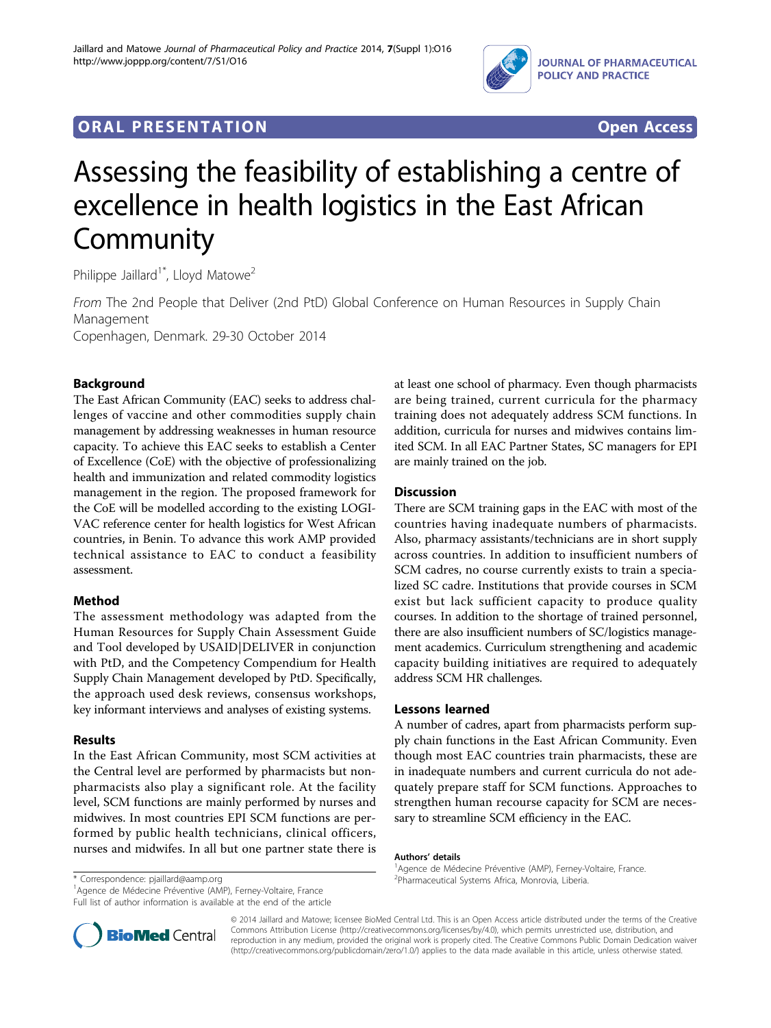

# **ORAL PRESENTATION CONSUMING ACCESS**



# Assessing the feasibility of establishing a centre of excellence in health logistics in the East African **Community**

Philippe Jaillard<sup>1\*</sup>, Lloyd Matowe<sup>2</sup>

From The 2nd People that Deliver (2nd PtD) Global Conference on Human Resources in Supply Chain Management Copenhagen, Denmark. 29-30 October 2014

# Background

The East African Community (EAC) seeks to address challenges of vaccine and other commodities supply chain management by addressing weaknesses in human resource capacity. To achieve this EAC seeks to establish a Center of Excellence (CoE) with the objective of professionalizing health and immunization and related commodity logistics management in the region. The proposed framework for the CoE will be modelled according to the existing LOGI-VAC reference center for health logistics for West African countries, in Benin. To advance this work AMP provided technical assistance to EAC to conduct a feasibility assessment.

## Method

The assessment methodology was adapted from the Human Resources for Supply Chain Assessment Guide and Tool developed by USAID|DELIVER in conjunction with PtD, and the Competency Compendium for Health Supply Chain Management developed by PtD. Specifically, the approach used desk reviews, consensus workshops, key informant interviews and analyses of existing systems.

## Results

In the East African Community, most SCM activities at the Central level are performed by pharmacists but nonpharmacists also play a significant role. At the facility level, SCM functions are mainly performed by nurses and midwives. In most countries EPI SCM functions are performed by public health technicians, clinical officers, nurses and midwifes. In all but one partner state there is at least one school of pharmacy. Even though pharmacists are being trained, current curricula for the pharmacy training does not adequately address SCM functions. In addition, curricula for nurses and midwives contains limited SCM. In all EAC Partner States, SC managers for EPI are mainly trained on the job.

## **Discussion**

There are SCM training gaps in the EAC with most of the countries having inadequate numbers of pharmacists. Also, pharmacy assistants/technicians are in short supply across countries. In addition to insufficient numbers of SCM cadres, no course currently exists to train a specialized SC cadre. Institutions that provide courses in SCM exist but lack sufficient capacity to produce quality courses. In addition to the shortage of trained personnel, there are also insufficient numbers of SC/logistics management academics. Curriculum strengthening and academic capacity building initiatives are required to adequately address SCM HR challenges.

#### Lessons learned

A number of cadres, apart from pharmacists perform supply chain functions in the East African Community. Even though most EAC countries train pharmacists, these are in inadequate numbers and current curricula do not adequately prepare staff for SCM functions. Approaches to strengthen human recourse capacity for SCM are necessary to streamline SCM efficiency in the EAC.

#### Authors' details <sup>1</sup>

<sup>1</sup>Agence de Médecine Préventive (AMP), Ferney-Voltaire, France Full list of author information is available at the end of the article

Agence de Médecine Préventive (AMP), Ferney-Voltaire, France. \* Correspondence: [pjaillard@aamp.org](mailto:pjaillard@aamp.org) Pharmaceutical Systems Africa, Monrovia, Liberia.



© 2014 Jaillard and Matowe; licensee BioMed Central Ltd. This is an Open Access article distributed under the terms of the Creative Commons Attribution License [\(http://creativecommons.org/licenses/by/4.0](http://creativecommons.org/licenses/by/4.0)), which permits unrestricted use, distribution, and reproduction in any medium, provided the original work is properly cited. The Creative Commons Public Domain Dedication waiver [\(http://creativecommons.org/publicdomain/zero/1.0/](http://creativecommons.org/publicdomain/zero/1.0/)) applies to the data made available in this article, unless otherwise stated.